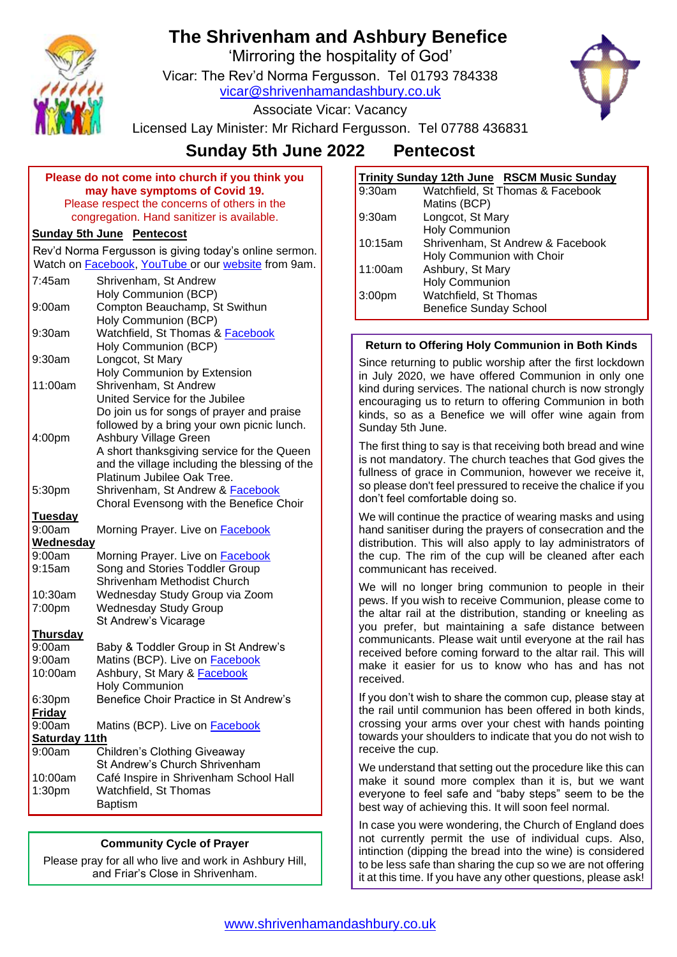

# **The Shrivenham and Ashbury Benefice**

'Mirroring the hospitality of God'

Vicar: The Rev'd Norma Fergusson. Tel 01793 784338

[vicar@shrivenhamandashbury.co.uk](mailto:vicar@shrivenhamandashbury.co.uk)



Associate Vicar: Vacancy

Licensed Lay Minister: Mr Richard Fergusson. Tel 07788 436831

# **Sunday 5th June 2022 Pentecost**

**Please do not come into church if you think you may have symptoms of Covid 19.** Please respect the concerns of others in the congregation. Hand sanitizer is available.

## **Sunday 5th June Pentecost**

Rev'd Norma Fergusson is giving today's online sermon. Watch on **Facebook**, [YouTube](https://www.youtube.com/channel/UCEggTi-rB5GB9AQzwETv4-Q/videos) or our [website](http://www.shrivenhamandashbury.co.uk/) from 9am.

| 7:45am           | Shrivenham, St Andrew                         |
|------------------|-----------------------------------------------|
|                  | Holy Communion (BCP)                          |
| 9:00am           | Compton Beauchamp, St Swithun                 |
|                  | Holy Communion (BCP)                          |
| 9:30am           | Watchfield, St Thomas & Facebook              |
|                  | Holy Communion (BCP)                          |
| $9:30$ am        | Longcot, St Mary                              |
|                  | <b>Holy Communion by Extension</b>            |
| 11:00am          | Shrivenham, St Andrew                         |
|                  | United Service for the Jubilee                |
|                  | Do join us for songs of prayer and praise     |
|                  | followed by a bring your own picnic lunch.    |
| 4:00pm           | Ashbury Village Green                         |
|                  | A short thanksgiving service for the Queen    |
|                  | and the village including the blessing of the |
|                  | Platinum Jubilee Oak Tree.                    |
| 5:30pm           | Shrivenham, St Andrew & Facebook              |
|                  | Choral Evensong with the Benefice Choir       |
| <b>Tuesday</b>   |                                               |
| 9:00am           | Morning Prayer. Live on Facebook              |
| <b>Wednesday</b> |                                               |
| 9:00am           | Morning Prayer. Live on Facebook              |
| 9:15am           | Song and Stories Toddler Group                |
|                  | Shrivenham Methodist Church                   |
| 10:30am          | Wednesday Study Group via Zoom                |
| 7:00pm           | <b>Wednesday Study Group</b>                  |
|                  | St Andrew's Vicarage                          |
| <b>Thursday</b>  |                                               |
| 9:00am           | Baby & Toddler Group in St Andrew's           |
| 9:00am           | Matins (BCP). Live on Facebook                |
| 10:00am          | Ashbury, St Mary & Facebook                   |
|                  | <b>Holy Communion</b>                         |
| 6:30pm           | Benefice Choir Practice in St Andrew's        |
| <b>Friday</b>    |                                               |
| 9:00am           | Matins (BCP). Live on <b>Facebook</b>         |
| Saturday 11th    |                                               |
| 9:00am           | Children's Clothing Giveaway                  |
|                  | St Andrew's Church Shrivenham                 |
| 10:00am          | Café Inspire in Shrivenham School Hall        |
| 1:30pm           | Watchfield, St Thomas                         |
|                  | <b>Baptism</b>                                |

#### **Community Cycle of Prayer**

Please pray for all who live and work in Ashbury Hill, and Friar's Close in Shrivenham.

| <b>Trinity Sunday 12th June RSCM Music Sunday</b> |                                  |  |
|---------------------------------------------------|----------------------------------|--|
| 9:30am                                            | Watchfield, St Thomas & Facebook |  |
|                                                   | Matins (BCP)                     |  |
| 9:30am                                            | Longcot, St Mary                 |  |
|                                                   | <b>Holy Communion</b>            |  |
| 10:15am                                           | Shrivenham, St Andrew & Facebook |  |
|                                                   | Holy Communion with Choir        |  |
| 11:00am                                           | Ashbury, St Mary                 |  |
|                                                   | <b>Holy Communion</b>            |  |
| 3:00 <sub>pm</sub>                                | Watchfield, St Thomas            |  |
|                                                   | <b>Benefice Sunday School</b>    |  |

#### **Return to Offering Holy Communion in Both Kinds**

Since returning to public worship after the first lockdown in July 2020, we have offered Communion in only one kind during services. The national church is now strongly encouraging us to return to offering Communion in both kinds, so as a Benefice we will offer wine again from Sunday 5th June.

The first thing to say is that receiving both bread and wine is not mandatory. The church teaches that God gives the fullness of grace in Communion, however we receive it, so please don't feel pressured to receive the chalice if you don't feel comfortable doing so.

We will continue the practice of wearing masks and using hand sanitiser during the prayers of consecration and the distribution. This will also apply to lay administrators of the cup. The rim of the cup will be cleaned after each communicant has received.

We will no longer bring communion to people in their pews. If you wish to receive Communion, please come to the altar rail at the distribution, standing or kneeling as you prefer, but maintaining a safe distance between communicants. Please wait until everyone at the rail has received before coming forward to the altar rail. This will make it easier for us to know who has and has not received.

If you don't wish to share the common cup, please stay at the rail until communion has been offered in both kinds, crossing your arms over your chest with hands pointing towards your shoulders to indicate that you do not wish to receive the cup.

We understand that setting out the procedure like this can make it sound more complex than it is, but we want everyone to feel safe and "baby steps" seem to be the best way of achieving this. It will soon feel normal.

In case you were wondering, the Church of England does not currently permit the use of individual cups. Also, intinction (dipping the bread into the wine) is considered to be less safe than sharing the cup so we are not offering it at this time. If you have any other questions, please ask!